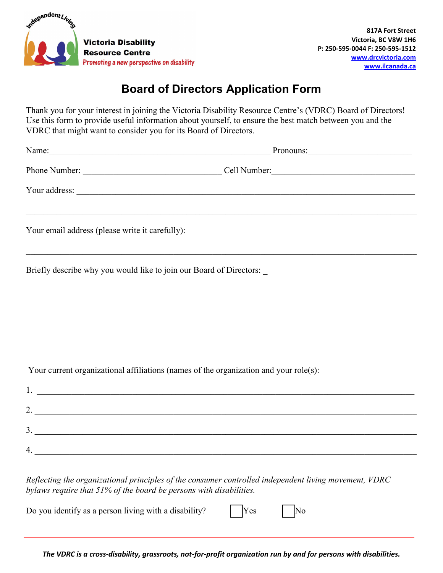

## **Board of Directors Application Form**

Thank you for your interest in joining the Victoria Disability Resource Centre's (VDRC) Board of Directors! Use this form to provide useful information about yourself, to ensure the best match between you and the VDRC that might want to consider you for its Board of Directors.

 $\mathcal{L}_\mathcal{L} = \{ \mathcal{L}_\mathcal{L} = \{ \mathcal{L}_\mathcal{L} = \{ \mathcal{L}_\mathcal{L} = \{ \mathcal{L}_\mathcal{L} = \{ \mathcal{L}_\mathcal{L} = \{ \mathcal{L}_\mathcal{L} = \{ \mathcal{L}_\mathcal{L} = \{ \mathcal{L}_\mathcal{L} = \{ \mathcal{L}_\mathcal{L} = \{ \mathcal{L}_\mathcal{L} = \{ \mathcal{L}_\mathcal{L} = \{ \mathcal{L}_\mathcal{L} = \{ \mathcal{L}_\mathcal{L} = \{ \mathcal{L}_\mathcal{$ 

Name: Note that the contract of the contract of the contract of the contract of the contract of the contract of the contract of the contract of the contract of the contract of the contract of the contract of the contract o

Phone Number:  $\Box$  Cell Number:

Your address: \_\_\_\_\_\_\_\_\_\_\_\_\_\_\_\_\_\_\_\_\_\_\_\_\_\_\_\_\_\_\_\_\_\_\_\_\_\_\_\_\_\_\_\_\_\_\_\_\_\_\_\_\_\_\_\_\_\_\_\_\_\_\_\_\_\_\_\_\_\_\_\_\_\_\_\_\_\_

Your email address (please write it carefully):

Briefly describe why you would like to join our Board of Directors:

Your current organizational affiliations (names of the organization and your role(s):

| . .             |  |
|-----------------|--|
| ◠<br><u>L</u> . |  |
| 3.              |  |
| 4.              |  |

*Reflecting the organizational principles of the consumer controlled independent living movement, VDRC bylaws require that 51% of the board be persons with disabilities.* 

Do you identify as a person living with a disability?  $|Yes|$  No